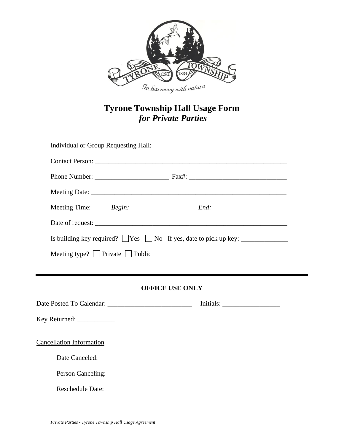

## **Tyrone Township Hall Usage Form** *for Private Parties*

| Meeting Time: Begin: _____________________ End: _________________________________  |  |  |
|------------------------------------------------------------------------------------|--|--|
|                                                                                    |  |  |
| Is building key required? $\Box$ Yes $\Box$ No If yes, date to pick up key: $\Box$ |  |  |
| Meeting type? $\Box$ Private $\Box$ Public                                         |  |  |
|                                                                                    |  |  |
| <b>OFFICE USE ONLY</b>                                                             |  |  |

Date Posted To Calendar: \_\_\_\_\_\_\_\_\_\_\_\_\_\_\_\_\_\_\_\_\_\_\_\_\_ Initials: \_\_\_\_\_\_\_\_\_\_\_\_\_\_\_\_\_ Key Returned: \_\_\_\_\_\_\_\_\_\_\_\_\_\_ Cancellation Information Date Canceled: Person Canceling: Reschedule Date: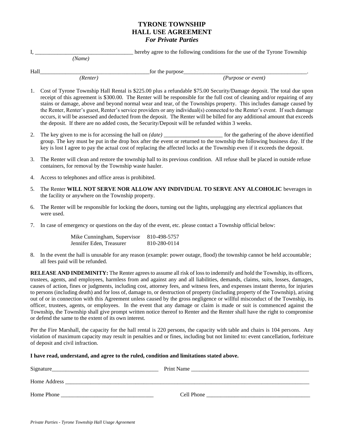## **TYRONE TOWNSHIP HALL USE AGREEMENT** *For Private Parties*

I, \_\_\_\_\_\_\_\_\_\_\_\_\_\_\_\_\_\_\_\_\_\_\_\_\_\_\_\_\_\_\_\_\_\_\_ hereby agree to the following conditions for the use of the Tyrone Township  *(Name)*

Hall\_\_\_\_\_\_\_\_\_\_\_\_\_\_\_\_\_\_\_\_\_\_\_\_\_\_\_\_\_\_\_\_\_\_\_\_\_\_\_for the purpose\_\_\_\_\_\_\_\_\_\_\_\_\_\_\_\_\_\_\_\_\_\_\_\_\_\_\_\_\_\_\_\_\_\_\_\_\_\_\_\_\_\_\_\_.

 *(Renter) (Purpose or event)*

- 1. Cost of Tyrone Township Hall Rental is \$225.00 plus a refundable \$75.00 Security/Damage deposit. The total due upon receipt of this agreement is \$300.00. The Renter will be responsible for the full cost of cleaning and/or repairing of any stains or damage, above and beyond normal wear and tear, of the Townships property. This includes damage caused by the Renter, Renter's guest, Renter's service providers or any individual(s) connected to the Renter's event. If such damage occurs, it will be assessed and deducted from the deposit. The Renter will be billed for any additional amount that exceeds the deposit. If there are no added costs, the Security/Deposit will be refunded within 3 weeks.
- 2. The key given to me is for accessing the hall on *(date)* for the gathering of the above identified group. The key must be put in the drop box after the event or returned to the township the following business day. If the key is lost I agree to pay the actual cost of replacing the affected locks at the Township even if it exceeds the deposit.
- 3. The Renter will clean and restore the township hall to its previous condition. All refuse shall be placed in outside refuse containers, for removal by the Township waste hauler.
- 4. Access to telephones and office areas is prohibited.
- 5. The Renter **WILL NOT SERVE NOR ALLOW ANY INDIVIDUAL TO SERVE ANY ALCOHOLIC** beverages in the facility or anywhere on the Township property.
- 6. The Renter will be responsible for locking the doors, turning out the lights, unplugging any electrical appliances that were used.
- 7. In case of emergency or questions on the day of the event, etc. please contact a Township official below:

| Mike Cunningham, Supervisor | 810-498-5757 |
|-----------------------------|--------------|
| Jennifer Eden, Treasurer    | 810-280-0114 |

8. In the event the hall is unusable for any reason (example: power outage, flood) the township cannot be held accountable; all fees paid will be refunded.

**RELEASE AND INDEMINITY:** The Renter agrees to assume all risk of loss to indemnify and hold the Township, its officers, trustees, agents, and employees, harmless from and against any and all liabilities, demands, claims, suits, losses, damages, causes of action, fines or judgments, including cost, attorney fees, and witness fees, and expenses instant thereto, for injuries to persons (including death) and for loss of, damage to, or destruction of property (including property of the Township), arising out of or in connection with this Agreement unless caused by the gross negligence or willful misconduct of the Township, its officer, trustees, agents, or employees. In the event that any damage or claim is made or suit is commenced against the Township, the Township shall give prompt written notice thereof to Renter and the Renter shall have the right to compromise or defend the same to the extent of its own interest.

Per the Fire Marshall, the capacity for the hall rental is 220 persons, the capacity with table and chairs is 104 persons. Any violation of maximum capacity may result in penalties and or fines, including but not limited to: event cancellation, forfeiture of deposit and civil infraction.

## **I have read, understand, and agree to the ruled, condition and limitations stated above.**

| Signature    | Print Name |
|--------------|------------|
| Home Address |            |
| Home Phone   | Cell Phone |